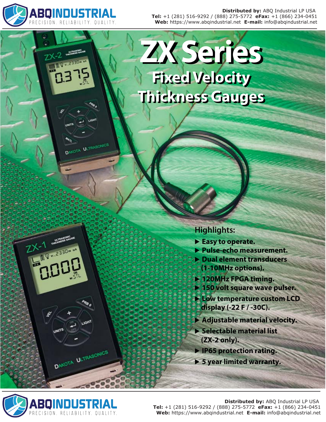

**DAKOTA ULTRASONICS** 

**Distributed by:** ABQ Industrial LP USA **Tel:** +1 (281) 516-9292 / (888) 275-5772 **eFax:** +1 (866) 234-0451 **Web:** https://www.abqindustrial.net **E-mail:** info@abqindustrial.net

# **Fixed Velocity Fixed Velocity Thickness Gauges Thickness Gauges ZX Series ZX Series**

|                          | <b>Highlights:</b>             |
|--------------------------|--------------------------------|
| <b>ULTRASONIC</b>        | Easy to operate.               |
| <b>Articles</b> 2330m ms | ▶ Pulse-echo measurement.      |
|                          | Dual element transducers       |
| DOOD                     | <b>E(1-10MHz options).</b>     |
|                          | > 120MHz FPGA timing.          |
|                          | > 150 volt square wave pulser. |
|                          | Low temperature custom LCD     |
|                          | display (-22 F / -30C).        |
| ₽<br><b>LIGHT</b>        | Adjustable material velocity.  |
| <b>UNITS</b>             | Selectable material list       |
|                          | $(ZX-2)$ only).                |
|                          | IP65 protection rating.        |
| DAKOTA ULTRASONICS       | Syear limited warranty.        |
|                          |                                |
|                          |                                |

**BACK CONTRACTOR** 



**Distributed by:** ABQ Industrial LP USA **Tel:** +1 (281) 516-9292 / (888) 275-5772 **eFax:** +1 (866) 234-0451 **Web:** https://www.abqindustrial.net **E-mail:** info@abqindustrial.net